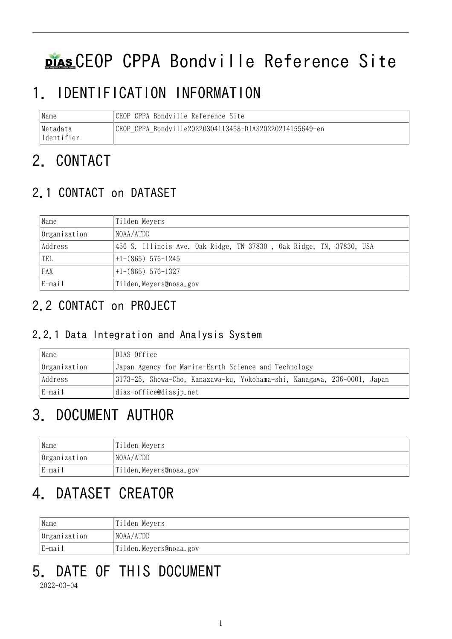# DIAS CEOP CPPA Bondville Reference Site

## 1. IDENTIFICATION INFORMATION

| Name        | CEOP CPPA Bondville Reference Site                        |
|-------------|-----------------------------------------------------------|
| Metadata    | 'CEOP CPPA Bondville20220304113458-DIAS20220214155649-en- |
| lIdentifier |                                                           |

## 2. CONTACT

### 2.1 CONTACT on DATASET

| Name         | Tilden Meyers                                                       |  |  |
|--------------|---------------------------------------------------------------------|--|--|
| Organization | NOAA/ATDD                                                           |  |  |
| Address      | 456 S. Illinois Ave. Oak Ridge, TN 37830, Oak Ridge, TN, 37830, USA |  |  |
| TEL          | $+1-(865)$ 576-1245                                                 |  |  |
| FAX          | $+1-(865)$ 576-1327                                                 |  |  |
| E-mail       | Tilden. Meyers@noaa.gov                                             |  |  |

### 2.2 CONTACT on PROJECT

#### 2.2.1 Data Integration and Analysis System

| Name         | DIAS Office                                                              |  |  |
|--------------|--------------------------------------------------------------------------|--|--|
| Organization | Japan Agency for Marine-Earth Science and Technology                     |  |  |
| Address      | 3173-25, Showa-Cho, Kanazawa-ku, Yokohama-shi, Kanagawa, 236-0001, Japan |  |  |
| E-mail       | dias-office@diasjp.net                                                   |  |  |

## 3. DOCUMENT AUTHOR

| Name         | Tilden Meyers          |
|--------------|------------------------|
| Organization | NOAA/ATDD              |
| E-mail       | Tilden.Meyers@noaa.gov |

## 4. DATASET CREATOR

| Name         | Tilden Meyers          |  |
|--------------|------------------------|--|
| Organization | NOAA/ATDD              |  |
| E-mail       | Tilden.Meyers@noaa.gov |  |

# 5. DATE OF THIS DOCUMENT

2022-03-04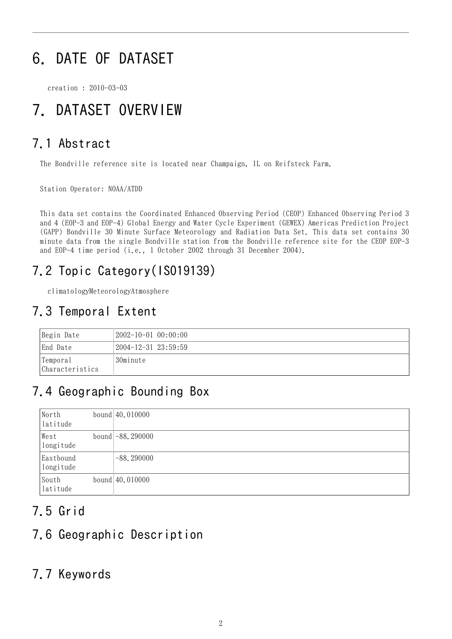## 6. DATE OF DATASET

creation : 2010-03-03

## 7. DATASET OVERVIEW

#### 7.1 Abstract

The Bondville reference site is located near Champaign, IL on Reifsteck Farm.

Station Operator: NOAA/ATDD

This data set contains the Coordinated Enhanced Observing Period (CEOP) Enhanced Observing Period 3 and 4 (EOP-3 and EOP-4) Global Energy and Water Cycle Experiment (GEWEX) Americas Prediction Project (GAPP) Bondville 30 Minute Surface Meteorology and Radiation Data Set. This data set contains 30 minute data from the single Bondville station from the Bondville reference site for the CEOP EOP-3 and EOP-4 time period (i.e., 1 October 2002 through 31 December 2004).

### 7.2 Topic Category(ISO19139)

climatologyMeteorologyAtmosphere

#### 7.3 Temporal Extent

| Begin Date                  | $2002-10-01$ $00:00:00$     |
|-----------------------------|-----------------------------|
| End Date                    | $2004 - 12 - 31$ $23:59:59$ |
| Temporal<br>Characteristics | 30minute                    |

#### 7.4 Geographic Bounding Box

| North<br>latitude      | bound $ 40.010000$ |
|------------------------|--------------------|
| West<br>longitude      | bound $-88.290000$ |
| Eastbound<br>longitude | $-88, 290000$      |
| South<br>latitude      | bound $ 40.010000$ |

#### 7.5 Grid

#### 7.6 Geographic Description

#### 7.7 Keywords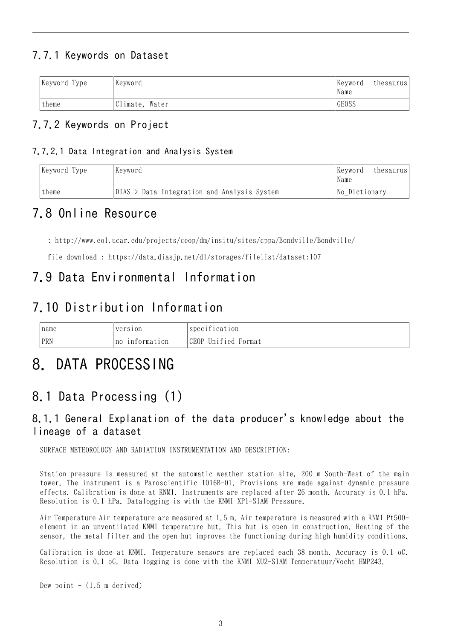#### 7.7.1 Keywords on Dataset

| Keyword Type | Keyword        | Keyword<br>Name | thesaurus |
|--------------|----------------|-----------------|-----------|
| theme        | Climate, Water | GEOSS           |           |

#### 7.7.2 Keywords on Project

#### 7.7.2.1 Data Integration and Analysis System

| Keyword Type | Kevword                                     | Keyword <br>thesaurus<br>Name |
|--------------|---------------------------------------------|-------------------------------|
| theme        | DIAS > Data Integration and Analysis System | No Dictionary                 |

#### 7.8 Online Resource

: <http://www.eol.ucar.edu/projects/ceop/dm/insitu/sites/cppa/Bondville/Bondville/>

file download : <https://data.diasjp.net/dl/storages/filelist/dataset:107>

#### 7.9 Data Environmental Information

#### 7.10 Distribution Information

| name | version                       | $\cdots$<br>'specification |
|------|-------------------------------|----------------------------|
| PRN  | information<br>n <sub>0</sub> | CEOP Unified<br>Format     |

### 8. DATA PROCESSING

### 8.1 Data Processing (1)

#### 8.1.1 General Explanation of the data producer's knowledge about the lineage of a dataset

SURFACE METEOROLOGY AND RADIATION INSTRUMENTATION AND DESCRIPTION:

Station pressure is measured at the automatic weather station site, 200 m South-West of the main tower. The instrument is a Paroscientific 1016B-01. Provisions are made against dynamic pressure effects. Calibration is done at KNMI. Instruments are replaced after 26 month. Accuracy is 0.1 hPa. Resolution is 0.1 hPa. Datalogging is with the KNMI XP1-SIAM Pressure.

Air Temperature Air temperature are measured at 1.5 m. Air temperature is measured with a KNMI Pt500 element in an unventilated KNMI temperature hut. This hut is open in construction. Heating of the sensor, the metal filter and the open hut improves the functioning during high humidity conditions.

Calibration is done at KNMI. Temperature sensors are replaced each 38 month. Accuracy is 0.1 oC. Resolution is 0.1 oC. Data logging is done with the KNMI XU2-SIAM Temperatuur/Vocht HMP243.

Dew point  $-$  (1.5 m derived)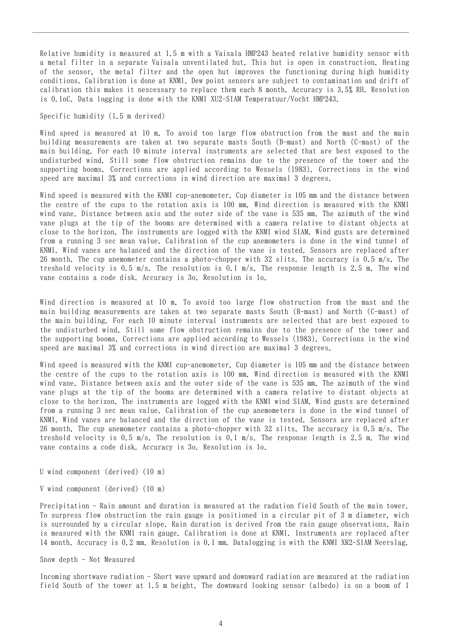Relative humidity is measured at 1.5 m with a Vaisala HMP243 heated relative humidity sensor with a metal filter in a separate Vaisala unventilated hut. This hut is open in construction. Heating of the sensor, the metal filter and the open hut improves the functioning during high humidity conditions. Calibration is done at KNMI. Dew point sensors are subject to contamination and drift of calibration this makes it nescessary to replace them each 8 month. Accuracy is 3.5% RH. Resolution is 0.1oC. Data logging is done with the KNMI XU2-SIAM Temperatuur/Vocht HMP243.

Specific humidity (1.5 m derived)

Wind speed is measured at 10 m. To avoid too large flow obstruction from the mast and the main building measurements are taken at two separate masts South (B-mast) and North (C-mast) of the main building. For each 10 minute interval instruments are selected that are best exposed to the undisturbed wind. Still some flow obstruction remains due to the presence of the tower and the supporting booms. Corrections are applied according to Wessels (1983). Corrections in the wind speed are maximal 3% and corrections in wind direction are maximal 3 degrees.

Wind speed is measured with the KNMI cup-anemometer. Cup diameter is 105 mm and the distance between the centre of the cups to the rotation axis is 100 mm. Wind direction is measured with the KNMI wind vane. Distance between axis and the outer side of the vane is 535 mm. The azimuth of the wind vane plugs at the tip of the booms are determined with a camera relative to distant objects at close to the horizon. The instruments are logged with the KNMI wind SIAM. Wind gusts are determined from a running 3 sec mean value. Calibration of the cup anemometers is done in the wind tunnel of KNMI. Wind vanes are balanced and the direction of the vane is tested. Sensors are replaced after 26 month. The cup anemometer contains a photo-chopper with 32 slits. The accuracy is 0.5 m/s. The treshold velocity is 0.5 m/s. The resolution is 0.1 m/s. The response length is 2.5 m. The wind vane contains a code disk. Accuracy is 3o. Resolution is 1o.

Wind direction is measured at 10 m. To avoid too large flow obstruction from the mast and the main building measurements are taken at two separate masts South (B-mast) and North (C-mast) of the main building. For each 10 minute interval instruments are selected that are best exposed to the undisturbed wind. Still some flow obstruction remains due to the presence of the tower and the supporting booms. Corrections are applied according to Wessels (1983). Corrections in the wind speed are maximal 3% and corrections in wind direction are maximal 3 degrees.

Wind speed is measured with the KNMI cup-anemometer. Cup diameter is 105 mm and the distance between the centre of the cups to the rotation axis is 100 mm. Wind direction is measured with the KNMI wind vane. Distance between axis and the outer side of the vane is 535 mm. The azimuth of the wind vane plugs at the tip of the booms are determined with a camera relative to distant objects at close to the horizon. The instruments are logged with the KNMI wind SIAM. Wind gusts are determined from a running 3 sec mean value. Calibration of the cup anemometers is done in the wind tunnel of KNMI. Wind vanes are balanced and the direction of the vane is tested. Sensors are replaced after 26 month. The cup anemometer contains a photo-chopper with 32 slits. The accuracy is 0.5 m/s. The treshold velocity is 0.5 m/s. The resolution is 0.1 m/s. The response length is 2.5 m. The wind vane contains a code disk. Accuracy is 3o. Resolution is 1o.

U wind component (derived) (10 m)

V wind component (derived) (10 m)

Precipitation - Rain amount and duration is measured at the radation field South of the main tower. To surpress flow obstruction the rain gauge is positioned in a circular pit of 3 m diameter, wich is surrounded by a circular slope. Rain duration is derived from the rain gauge observations. Rain is measured with the KNMI rain gauge. Calibration is done at KNMI. Instruments are replaced after 14 month. Accuracy is 0.2 mm. Resolution is 0.1 mm. Datalogging is with the KNMI XR2-SIAM Neerslag.

Snow depth - Not Measured

Incoming shortwave radiation - Short wave upward and downward radiation are measured at the radiation field South of the tower at 1.5 m height. The downward looking sensor (albedo) is on a boom of 1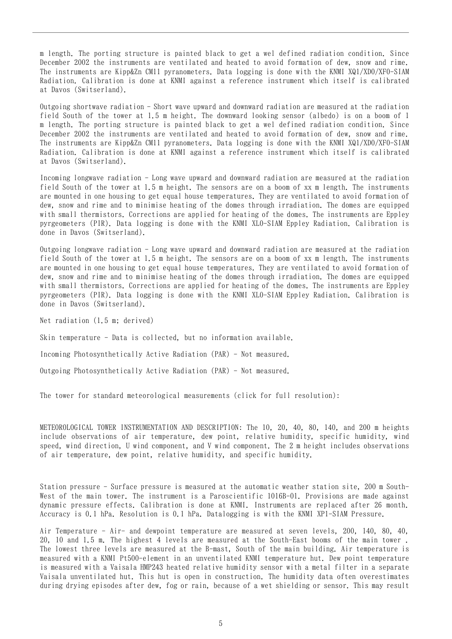m length. The porting structure is painted black to get a wel defined radiation condition. Since December 2002 the instruments are ventilated and heated to avoid formation of dew, snow and rime. The instruments are Kipp&Zn CM11 pyranometers. Data logging is done with the KNMI XQ1/XD0/XF0-SIAM Radiation. Calibration is done at KNMI against a reference instrument which itself is calibrated at Davos (Switserland).

Outgoing shortwave radiation - Short wave upward and downward radiation are measured at the radiation field South of the tower at 1.5 m height. The downward looking sensor (albedo) is on a boom of 1 m length. The porting structure is painted black to get a wel defined radiation condition. Since December 2002 the instruments are ventilated and heated to avoid formation of dew, snow and rime. The instruments are Kipp&Zn CM11 pyranometers. Data logging is done with the KNMI XQ1/XD0/XF0-SIAM Radiation. Calibration is done at KNMI against a reference instrument which itself is calibrated at Davos (Switserland).

Incoming longwave radiation - Long wave upward and downward radiation are measured at the radiation field South of the tower at 1.5 m height. The sensors are on a boom of xx m length. The instruments are mounted in one housing to get equal house temperatures. They are ventilated to avoid formation of dew, snow and rime and to minimise heating of the domes through irradiation. The domes are equipped with small thermistors. Corrections are applied for heating of the domes. The instruments are Eppley pyrgeometers (PIR). Data logging is done with the KNMI XL0-SIAM Eppley Radiation. Calibration is done in Davos (Switserland).

Outgoing longwave radiation - Long wave upward and downward radiation are measured at the radiation field South of the tower at 1.5 m height. The sensors are on a boom of xx m length. The instruments are mounted in one housing to get equal house temperatures. They are ventilated to avoid formation of dew, snow and rime and to minimise heating of the domes through irradiation. The domes are equipped with small thermistors. Corrections are applied for heating of the domes. The instruments are Eppley pyrgeometers (PIR). Data logging is done with the KNMI XL0-SIAM Eppley Radiation. Calibration is done in Davos (Switserland).

Net radiation (1.5 m; derived)

Skin temperature - Data is collected, but no information available.

Incoming Photosynthetically Active Radiation (PAR) - Not measured.

Outgoing Photosynthetically Active Radiation (PAR) - Not measured.

The tower for standard meteorological measurements (click for full resolution):

METEOROLOGICAL TOWER INSTRUMENTATION AND DESCRIPTION: The 10, 20, 40, 80, 140, and 200 m heights include observations of air temperature, dew point, relative humidity, specific humidity, wind speed, wind direction, U wind component, and V wind component. The 2 m height includes observations of air temperature, dew point, relative humidity, and specific humidity.

Station pressure - Surface pressure is measured at the automatic weather station site, 200 m South-West of the main tower. The instrument is a Paroscientific 1016B-01. Provisions are made against dynamic pressure effects. Calibration is done at KNMI. Instruments are replaced after 26 month. Accuracy is 0.1 hPa. Resolution is 0.1 hPa. Datalogging is with the KNMI XP1-SIAM Pressure.

Air Temperature - Air- and dewpoint temperature are measured at seven levels, 200, 140, 80, 40, 20, 10 and 1.5 m. The highest 4 levels are measured at the South-East booms of the main tower . The lowest three levels are measured at the B-mast, South of the main building. Air temperature is measured with a KNMI Pt500-element in an unventilated KNMI temperature hut. Dew point temperature is measured with a Vaisala HMP243 heated relative humidity sensor with a metal filter in a separate Vaisala unventilated hut. This hut is open in construction. The humidity data often overestimates during drying episodes after dew, fog or rain, because of a wet shielding or sensor. This may result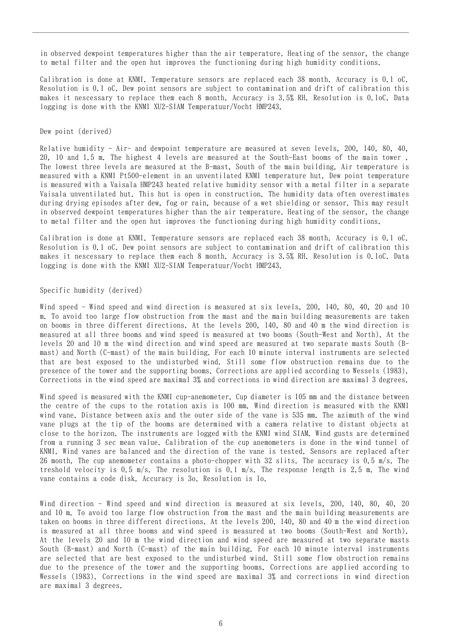in observed dewpoint temperatures higher than the air temperature. Heating of the sensor, the change to metal filter and the open hut improves the functioning during high humidity conditions.

Calibration is done at KNMI. Temperature sensors are replaced each 38 month. Accuracy is 0.1 oC. Resolution is 0.1 oC. Dew point sensors are subject to contamination and drift of calibration this makes it nescessary to replace them each 8 month. Accuracy is 3.5% RH. Resolution is 0.1oC. Data logging is done with the KNMI XU2-SIAM Temperatuur/Vocht HMP243.

Dew point (derived)

Relative humidity - Air- and dewpoint temperature are measured at seven levels, 200, 140, 80, 40, 20, 10 and 1.5 m. The highest 4 levels are measured at the South-East booms of the main tower . The lowest three levels are measured at the B-mast, South of the main building. Air temperature is measured with a KNMI Pt500-element in an unventilated KNMI temperature hut. Dew point temperature is measured with a Vaisala HMP243 heated relative humidity sensor with a metal filter in a separate Vaisala unventilated hut. This hut is open in construction. The humidity data often overestimates during drying episodes after dew, fog or rain, because of a wet shielding or sensor. This may result in observed dewpoint temperatures higher than the air temperature. Heating of the sensor, the change to metal filter and the open hut improves the functioning during high humidity conditions.

Calibration is done at KNMI. Temperature sensors are replaced each 38 month. Accuracy is 0.1 oC. Resolution is 0.1 oC. Dew point sensors are subject to contamination and drift of calibration this makes it nescessary to replace them each 8 month. Accuracy is 3.5% RH. Resolution is 0.1oC. Data logging is done with the KNMI XU2-SIAM Temperatuur/Vocht HMP243.

#### Specific humidity (derived)

Wind speed - Wind speed and wind direction is measured at six levels, 200, 140, 80, 40, 20 and 10 m. To avoid too large flow obstruction from the mast and the main building measurements are taken on booms in three different directions. At the levels 200, 140, 80 and 40 m the wind direction is measured at all three booms and wind speed is measured at two booms (South-West and North). At the levels 20 and 10 m the wind direction and wind speed are measured at two separate masts South (Bmast) and North (C-mast) of the main building. For each 10 minute interval instruments are selected that are best exposed to the undisturbed wind. Still some flow obstruction remains due to the presence of the tower and the supporting booms. Corrections are applied according to Wessels (1983). Corrections in the wind speed are maximal 3% and corrections in wind direction are maximal 3 degrees.

Wind speed is measured with the KNMI cup-anemometer. Cup diameter is 105 mm and the distance between the centre of the cups to the rotation axis is 100 mm. Wind direction is measured with the KNMI wind vane. Distance between axis and the outer side of the vane is 535 mm. The azimuth of the wind vane plugs at the tip of the booms are determined with a camera relative to distant objects at close to the horizon. The instruments are logged with the KNMI wind SIAM. Wind gusts are determined from a running 3 sec mean value. Calibration of the cup anemometers is done in the wind tunnel of KNMI. Wind vanes are balanced and the direction of the vane is tested. Sensors are replaced after 26 month. The cup anemometer contains a photo-chopper with 32 slits. The accuracy is 0.5 m/s. The treshold velocity is 0.5 m/s. The resolution is 0.1 m/s. The response length is 2.5 m. The wind vane contains a code disk. Accuracy is 3o. Resolution is 1o.

Wind direction - Wind speed and wind direction is measured at six levels, 200, 140, 80, 40, 20 and 10 m. To avoid too large flow obstruction from the mast and the main building measurements are taken on booms in three different directions. At the levels 200, 140, 80 and 40 m the wind direction is measured at all three booms and wind speed is measured at two booms (South-West and North). At the levels 20 and 10 m the wind direction and wind speed are measured at two separate masts South (B-mast) and North (C-mast) of the main building. For each 10 minute interval instruments are selected that are best exposed to the undisturbed wind. Still some flow obstruction remains due to the presence of the tower and the supporting booms. Corrections are applied according to Wessels (1983). Corrections in the wind speed are maximal 3% and corrections in wind direction are maximal 3 degrees.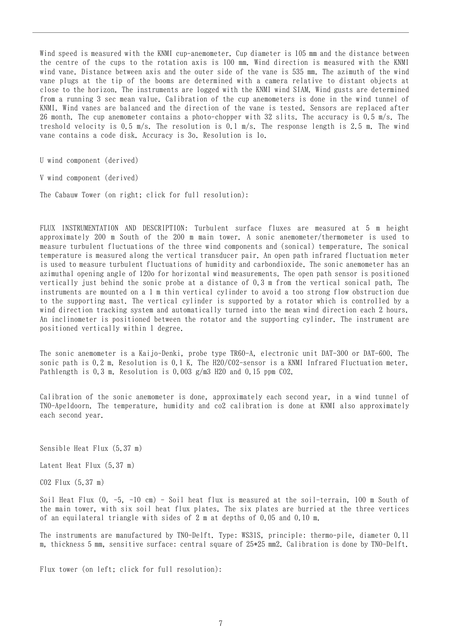Wind speed is measured with the KNMI cup-anemometer. Cup diameter is 105 mm and the distance between the centre of the cups to the rotation axis is 100 mm. Wind direction is measured with the KNMI wind vane. Distance between axis and the outer side of the vane is 535 mm. The azimuth of the wind vane plugs at the tip of the booms are determined with a camera relative to distant objects at close to the horizon. The instruments are logged with the KNMI wind SIAM. Wind gusts are determined from a running 3 sec mean value. Calibration of the cup anemometers is done in the wind tunnel of KNMI. Wind vanes are balanced and the direction of the vane is tested. Sensors are replaced after 26 month. The cup anemometer contains a photo-chopper with 32 slits. The accuracy is 0.5 m/s. The treshold velocity is 0.5 m/s. The resolution is 0.1 m/s. The response length is 2.5 m. The wind vane contains a code disk. Accuracy is 3o. Resolution is 1o.

U wind component (derived)

V wind component (derived)

The Cabauw Tower (on right; click for full resolution):

FLUX INSTRUMENTATION AND DESCRIPTION: Turbulent surface fluxes are measured at 5 m height approximately 200 m South of the 200 m main tower. A sonic anemometer/thermometer is used to measure turbulent fluctuations of the three wind components and (sonical) temperature. The sonical temperature is measured along the vertical transducer pair. An open path infrared fluctuation meter is used to measure turbulent fluctuations of humidity and carbondioxide. The sonic anemometer has an azimuthal opening angle of 120o for horizontal wind measurements. The open path sensor is positioned vertically just behind the sonic probe at a distance of 0.3 m from the vertical sonical path. The instruments are mounted on a 1 m thin vertical cylinder to avoid a too strong flow obstruction due to the supporting mast. The vertical cylinder is supported by a rotator which is controlled by a wind direction tracking system and automatically turned into the mean wind direction each 2 hours. An inclinometer is positioned between the rotator and the supporting cylinder. The instrument are positioned vertically within 1 degree.

The sonic anemometer is a Kaijo-Denki, probe type TR60-A, electronic unit DAT-300 or DAT-600. The sonic path is 0.2 m. Resolution is 0.1 K. The H2O/CO2-sensor is a KNMI Infrared Fluctuation meter. Pathlength is 0.3 m. Resolution is 0.003 g/m3 H2O and 0.15 ppm CO2.

Calibration of the sonic anemometer is done, approximately each second year, in a wind tunnel of TNO-Apeldoorn. The temperature, humidity and co2 calibration is done at KNMI also approximately each second year.

Sensible Heat Flux (5.37 m)

Latent Heat Flux (5.37 m)

CO2 Flux (5.37 m)

Soil Heat Flux (0, -5, -10 cm) - Soil heat flux is measured at the soil-terrain, 100 m South of the main tower, with six soil heat flux plates. The six plates are burried at the three vertices of an equilateral triangle with sides of 2 m at depths of 0.05 and 0.10 m.

The instruments are manufactured by TNO-Delft. Type: WS31S, principle: thermo-pile, diameter 0.11 m, thickness 5 mm, sensitive surface: central square of 25\*25 mm2. Calibration is done by TNO-Delft.

Flux tower (on left; click for full resolution):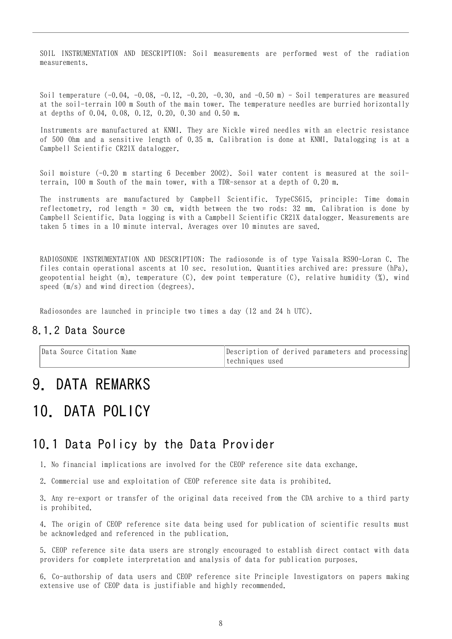SOIL INSTRUMENTATION AND DESCRIPTION: Soil measurements are performed west of the radiation measurements.

Soil temperature  $(-0.04, -0.08, -0.12, -0.20, -0.30, \text{ and } -0.50 \text{ m})$  - Soil temperatures are measured at the soil-terrain 100 m South of the main tower. The temperature needles are burried horizontally at depths of 0.04, 0.08, 0.12, 0.20, 0.30 and 0.50 m.

Instruments are manufactured at KNMI. They are Nickle wired needles with an electric resistance of 500 Ohm and a sensitive length of 0.35 m. Calibration is done at KNMI. Datalogging is at a Campbell Scientific CR21X datalogger.

Soil moisture (-0.20 m starting 6 December 2002). Soil water content is measured at the soilterrain, 100 m South of the main tower, with a TDR-sensor at a depth of 0.20 m.

The instruments are manufactured by Campbell Scientific. TypeCS615, principle: Time domain reflectometry, rod length = 30 cm, width between the two rods: 32 mm. Calibration is done by Campbell Scientific. Data logging is with a Campbell Scientific CR21X datalogger. Measurements are taken 5 times in a 10 minute interval. Averages over 10 minutes are saved.

RADIOSONDE INSTRUMENTATION AND DESCRIPTION: The radiosonde is of type Vaisala RS90-Loran C. The files contain operational ascents at 10 sec. resolution. Quantities archived are: pressure (hPa), geopotential height (m), temperature (C), dew point temperature (C), relative humidity (%), wind speed (m/s) and wind direction (degrees).

Radiosondes are launched in principle two times a day (12 and 24 h UTC).

#### 8.1.2 Data Source

| Data Source Citation Name | Description of derived parameters and processing |
|---------------------------|--------------------------------------------------|
|                           | Itechniques used                                 |

### 9. DATA REMARKS

### 10. DATA POLICY

#### 10.1 Data Policy by the Data Provider

1. No financial implications are involved for the CEOP reference site data exchange.

2. Commercial use and exploitation of CEOP reference site data is prohibited.

3. Any re-export or transfer of the original data received from the CDA archive to a third party is prohibited.

4. The origin of CEOP reference site data being used for publication of scientific results must be acknowledged and referenced in the publication.

5. CEOP reference site data users are strongly encouraged to establish direct contact with data providers for complete interpretation and analysis of data for publication purposes.

6. Co-authorship of data users and CEOP reference site Principle Investigators on papers making extensive use of CEOP data is justifiable and highly recommended.